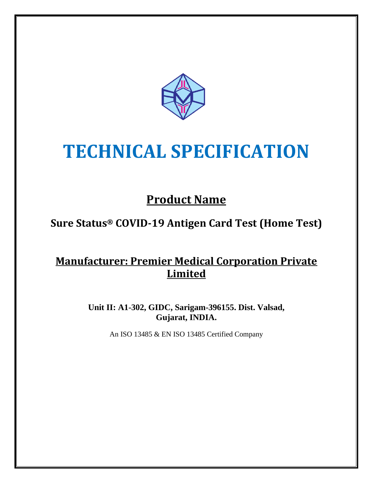

# **TECHNICAL SPECIFICATION**

# **Product Name**

## **Sure Status® COVID-19 Antigen Card Test (Home Test)**

### **Manufacturer: Premier Medical Corporation Private Limited**

**Unit II: A1-302, GIDC, Sarigam-396155. Dist. Valsad, Gujarat, INDIA.**

An ISO 13485 & EN ISO 13485 Certified Company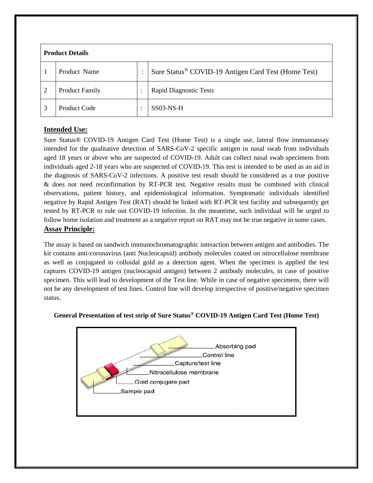| <b>Product Details</b> |                       |           |                                                                 |
|------------------------|-----------------------|-----------|-----------------------------------------------------------------|
|                        | Product Name          | ٠         | Sure Status <sup>®</sup> COVID-19 Antigen Card Test (Home Test) |
| $\overline{2}$         | <b>Product Family</b> |           | <b>Rapid Diagnostic Tests</b>                                   |
| 3                      | Product Code          | $\bullet$ | SS03-NS-H                                                       |

#### **Intended Use:**

Sure Status® COVID-19 Antigen Card Test (Home Test) is a single use, lateral flow immunoassay intended for the qualitative detection of SARS-CoV-2 specific antigen in nasal swab from individuals aged 18 years or above who are suspected of COVID-19. Adult can collect nasal swab specimens from individuals aged 2-18 years who are suspected of COVID-19. This test is intended to be used as an aid in the diagnosis of SARS-CoV-2 infections. A positive test result should be considered as a true positive & does not need reconfirmation by RT-PCR test. Negative results must be combined with clinical observations, patient history, and epidemiological information. Symptomatic individuals identified negative by Rapid Antigen Test (RAT) should be linked with RT-PCR test facility and subsequently get tested by RT-PCR to rule out COVID-19 infection. In the meantime, such individual will be urged to follow home isolation and treatment as a negative report on RAT may not be true negative in some cases. **Assay Principle:**

The assay is based on sandwich immunochromatographic interaction between antigen and antibodies. The kit contains anti-coronavirus (anti Nucleocapsid) antibody molecules coated on nitrocellulose membrane as well as conjugated to colloidal gold as a detection agent. When the specimen is applied the test captures COVID-19 antigen (nucleocapsid antigen) between 2 antibody molecules, in case of positive specimen. This will lead to development of the Test line. While in case of negative specimens, there will not be any development of test lines. Control line will develop irrespective of positive/negative specimen status.



#### **General Presentation of test strip of Sure Status® COVID-19 Antigen Card Test (Home Test)**